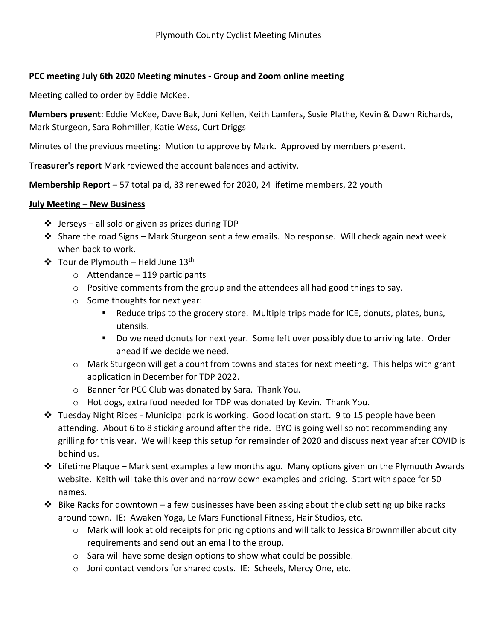## **PCC meeting July 6th 2020 Meeting minutes - Group and Zoom online meeting**

Meeting called to order by Eddie McKee.

**Members present**: Eddie McKee, Dave Bak, Joni Kellen, Keith Lamfers, Susie Plathe, Kevin & Dawn Richards, Mark Sturgeon, Sara Rohmiller, Katie Wess, Curt Driggs

Minutes of the previous meeting: Motion to approve by Mark. Approved by members present.

**Treasurer's report** Mark reviewed the account balances and activity.

**Membership Report** – 57 total paid, 33 renewed for 2020, 24 lifetime members, 22 youth

## **July Meeting – New Business**

- $\cdot \cdot$  Jerseys all sold or given as prizes during TDP
- $\div$  Share the road Signs Mark Sturgeon sent a few emails. No response. Will check again next week when back to work.
- $\div$  Tour de Plymouth Held June 13<sup>th</sup>
	- $\circ$  Attendance 119 participants
	- $\circ$  Positive comments from the group and the attendees all had good things to say.
	- o Some thoughts for next year:
		- **EXECUTE:** Reduce trips to the grocery store. Multiple trips made for ICE, donuts, plates, buns, utensils.
		- **Do we need donuts for next year. Some left over possibly due to arriving late. Order** ahead if we decide we need.
	- o Mark Sturgeon will get a count from towns and states for next meeting. This helps with grant application in December for TDP 2022.
	- o Banner for PCC Club was donated by Sara. Thank You.
	- o Hot dogs, extra food needed for TDP was donated by Kevin. Thank You.
- Tuesday Night Rides Municipal park is working. Good location start. 9 to 15 people have been attending. About 6 to 8 sticking around after the ride. BYO is going well so not recommending any grilling for this year. We will keep this setup for remainder of 2020 and discuss next year after COVID is behind us.
- Lifetime Plaque Mark sent examples a few months ago. Many options given on the Plymouth Awards website. Keith will take this over and narrow down examples and pricing. Start with space for 50 names.
- $\cdot \cdot$  Bike Racks for downtown a few businesses have been asking about the club setting up bike racks around town. IE: Awaken Yoga, Le Mars Functional Fitness, Hair Studios, etc.
	- o Mark will look at old receipts for pricing options and will talk to Jessica Brownmiller about city requirements and send out an email to the group.
	- o Sara will have some design options to show what could be possible.
	- o Joni contact vendors for shared costs. IE: Scheels, Mercy One, etc.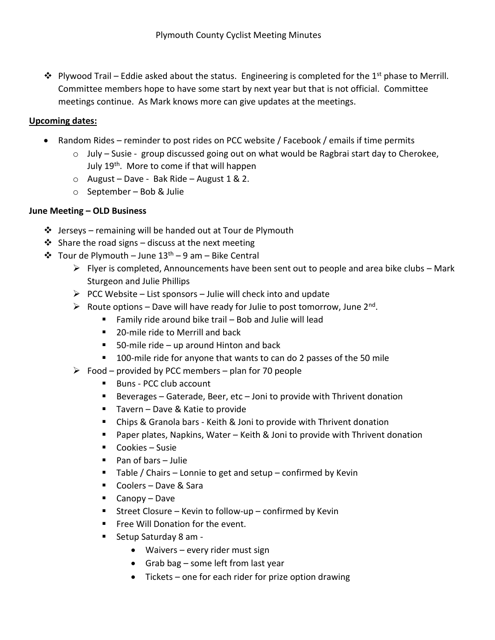$\cdot$  Plywood Trail – Eddie asked about the status. Engineering is completed for the 1<sup>st</sup> phase to Merrill. Committee members hope to have some start by next year but that is not official. Committee meetings continue. As Mark knows more can give updates at the meetings.

## **Upcoming dates:**

- Random Rides reminder to post rides on PCC website / Facebook / emails if time permits
	- $\circ$  July Susie group discussed going out on what would be Ragbrai start day to Cherokee, July 19<sup>th</sup>. More to come if that will happen
	- $\circ$  August Dave Bak Ride August 1 & 2.
	- o September Bob & Julie

## **June Meeting – OLD Business**

- $\cdot \cdot$  Jerseys remaining will be handed out at Tour de Plymouth
- $\cdot$  Share the road signs discuss at the next meeting
- $\div$  Tour de Plymouth June 13<sup>th</sup> 9 am Bike Central
	- $\triangleright$  Flyer is completed, Announcements have been sent out to people and area bike clubs Mark Sturgeon and Julie Phillips
	- $\triangleright$  PCC Website List sponsors Julie will check into and update
	- $\triangleright$  Route options Dave will have ready for Julie to post tomorrow, June 2<sup>nd</sup>.
		- Family ride around bike trail  $-$  Bob and Julie will lead
		- 20-mile ride to Merrill and back
		- 50-mile ride up around Hinton and back
		- **100-mile ride for anyone that wants to can do 2 passes of the 50 mile**
	- $\triangleright$  Food provided by PCC members plan for 70 people
		- Buns PCC club account
		- Beverages Gaterade, Beer, etc Joni to provide with Thrivent donation
		- Tavern Dave & Katie to provide
		- Chips & Granola bars Keith & Joni to provide with Thrivent donation
		- Paper plates, Napkins, Water Keith & Joni to provide with Thrivent donation
		- Cookies Susie
		- Pan of bars Julie
		- $\blacksquare$  Table / Chairs Lonnie to get and setup confirmed by Kevin
		- Coolers Dave & Sara
		- Canopy Dave
		- Street Closure Kevin to follow-up confirmed by Kevin
		- **Filter** Free Will Donation for the event.
		- Setup Saturday 8 am -
			- Waivers every rider must sign
			- Grab bag some left from last year
			- Tickets one for each rider for prize option drawing